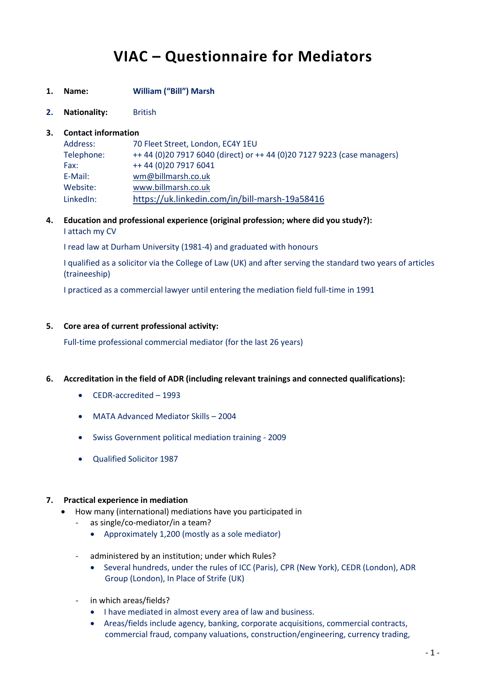# **VIAC – Questionnaire for Mediators**

- **1. Name: William ("Bill") Marsh**
- **2. Nationality:** British

### **3. Contact information**

| Address:   | 70 Fleet Street, London, EC4Y 1EU                                       |
|------------|-------------------------------------------------------------------------|
| Telephone: | ++ 44 (0)20 7917 6040 (direct) or ++ 44 (0)20 7127 9223 (case managers) |
| Fax:       | ++44 (0)20 7917 6041                                                    |
| E-Mail:    | wm@billmarsh.co.uk                                                      |
| Website:   | www.billmarsh.co.uk                                                     |
| LinkedIn:  | https://uk.linkedin.com/in/bill-marsh-19a58416                          |

**4. Education and professional experience (original profession; where did you study?):** I attach my CV

I read law at Durham University (1981-4) and graduated with honours

I qualified as a solicitor via the College of Law (UK) and after serving the standard two years of articles (traineeship)

I practiced as a commercial lawyer until entering the mediation field full-time in 1991

#### **5. Core area of current professional activity:**

Full-time professional commercial mediator (for the last 26 years)

- **6. Accreditation in the field of ADR (including relevant trainings and connected qualifications):**
	- CEDR-accredited 1993
	- MATA Advanced Mediator Skills 2004
	- Swiss Government political mediation training 2009
	- Qualified Solicitor 1987

#### **7. Practical experience in mediation**

- How many (international) mediations have you participated in
	- as single/co-mediator/in a team?
		- Approximately 1,200 (mostly as a sole mediator)
	- administered by an institution; under which Rules?
		- Several hundreds, under the rules of ICC (Paris), CPR (New York), CEDR (London), ADR Group (London), In Place of Strife (UK)
	- in which areas/fields?
		- I have mediated in almost every area of law and business.
		- Areas/fields include agency, banking, corporate acquisitions, commercial contracts, commercial fraud, company valuations, construction/engineering, currency trading,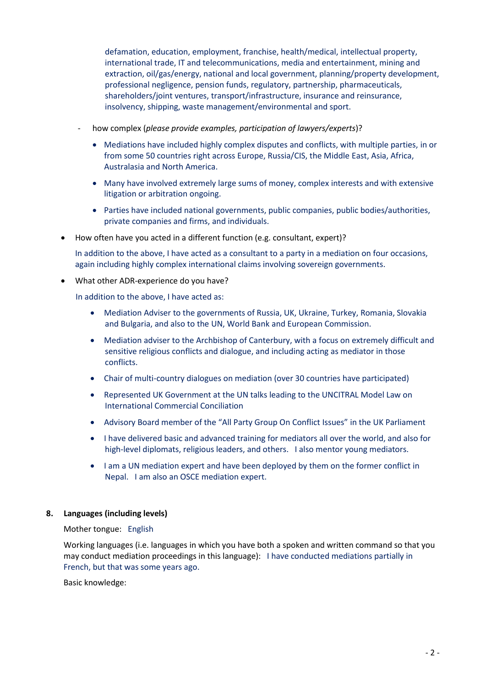defamation, education, employment, franchise, health/medical, intellectual property, international trade, IT and telecommunications, media and entertainment, mining and extraction, oil/gas/energy, national and local government, planning/property development, professional negligence, pension funds, regulatory, partnership, pharmaceuticals, shareholders/joint ventures, transport/infrastructure, insurance and reinsurance, insolvency, shipping, waste management/environmental and sport.

- how complex (*please provide examples, participation of lawyers/experts*)?
	- Mediations have included highly complex disputes and conflicts, with multiple parties, in or from some 50 countries right across Europe, Russia/CIS, the Middle East, Asia, Africa, Australasia and North America.
	- Many have involved extremely large sums of money, complex interests and with extensive litigation or arbitration ongoing.
	- Parties have included national governments, public companies, public bodies/authorities, private companies and firms, and individuals.
- How often have you acted in a different function (e.g. consultant, expert)?

In addition to the above, I have acted as a consultant to a party in a mediation on four occasions, again including highly complex international claims involving sovereign governments.

What other ADR-experience do you have?

In addition to the above, I have acted as:

- Mediation Adviser to the governments of Russia, UK, Ukraine, Turkey, Romania, Slovakia and Bulgaria, and also to the UN, World Bank and European Commission.
- Mediation adviser to the Archbishop of Canterbury, with a focus on extremely difficult and sensitive religious conflicts and dialogue, and including acting as mediator in those conflicts.
- Chair of multi-country dialogues on mediation (over 30 countries have participated)
- Represented UK Government at the UN talks leading to the UNCITRAL Model Law on International Commercial Conciliation
- Advisory Board member of the "All Party Group On Conflict Issues" in the UK Parliament
- I have delivered basic and advanced training for mediators all over the world, and also for high-level diplomats, religious leaders, and others. I also mentor young mediators.
- I am a UN mediation expert and have been deployed by them on the former conflict in Nepal. I am also an OSCE mediation expert.

# **8. Languages (including levels)**

# Mother tongue: English

Working languages (i.e. languages in which you have both a spoken and written command so that you may conduct mediation proceedings in this language): I have conducted mediations partially in French, but that was some years ago.

Basic knowledge: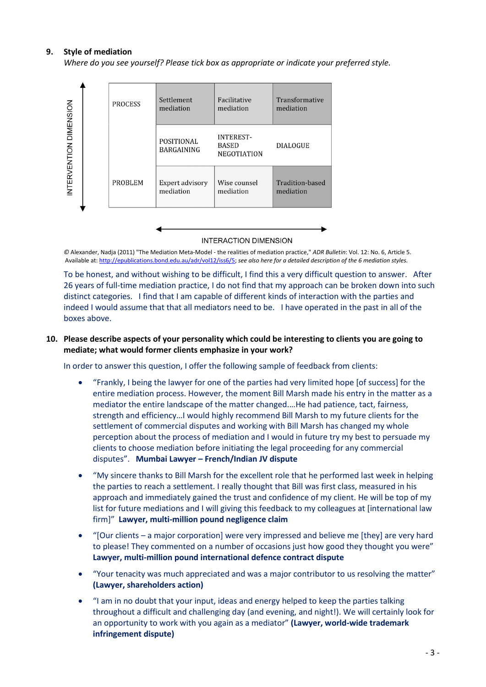### **9. Style of mediation**

*Where do you see yourself? Please tick box as appropriate or indicate your preferred style.*



**INTERACTION DIMENSION** 

*©* Alexander, Nadja (2011) "The Mediation Meta-Model - the realities of mediation practice," *ADR Bulletin*: Vol. 12: No. 6, Article 5. Available at[: http://epublications.bond.edu.au/adr/vol12/iss6/5;](http://epublications.bond.edu.au/adr/vol12/iss6/5) *see also here for a detailed description of the 6 mediation styles.*

To be honest, and without wishing to be difficult, I find this a very difficult question to answer. After 26 years of full-time mediation practice, I do not find that my approach can be broken down into such distinct categories. I find that I am capable of different kinds of interaction with the parties and indeed I would assume that that all mediators need to be. I have operated in the past in all of the boxes above.

### **10. Please describe aspects of your personality which could be interesting to clients you are going to mediate; what would former clients emphasize in your work?**

In order to answer this question, I offer the following sample of feedback from clients:

- "Frankly, I being the lawyer for one of the parties had very limited hope [of success] for the entire mediation process. However, the moment Bill Marsh made his entry in the matter as a mediator the entire landscape of the matter changed.…He had patience, tact, fairness, strength and efficiency…I would highly recommend Bill Marsh to my future clients for the settlement of commercial disputes and working with Bill Marsh has changed my whole perception about the process of mediation and I would in future try my best to persuade my clients to choose mediation before initiating the legal proceeding for any commercial disputes". **Mumbai Lawyer – French/Indian JV dispute**
- "My sincere thanks to Bill Marsh for the excellent role that he performed last week in helping the parties to reach a settlement. I really thought that Bill was first class, measured in his approach and immediately gained the trust and confidence of my client. He will be top of my list for future mediations and I will giving this feedback to my colleagues at [international law firm]" **Lawyer, multi-million pound negligence claim**
- "[Our clients a major corporation] were very impressed and believe me [they] are very hard to please! They commented on a number of occasions just how good they thought you were" **Lawyer, multi-million pound international defence contract dispute**
- "Your tenacity was much appreciated and was a major contributor to us resolving the matter" **(Lawyer, shareholders action)**
- "I am in no doubt that your input, ideas and energy helped to keep the parties talking throughout a difficult and challenging day (and evening, and night!). We will certainly look for an opportunity to work with you again as a mediator" **(Lawyer, world-wide trademark infringement dispute)**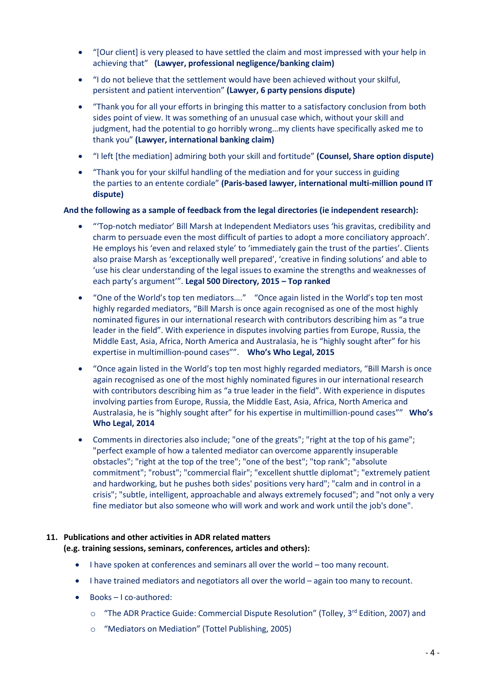- "[Our client] is very pleased to have settled the claim and most impressed with your help in achieving that" **(Lawyer, professional negligence/banking claim)**
- "I do not believe that the settlement would have been achieved without your skilful, persistent and patient intervention" **(Lawyer, 6 party pensions dispute)**
- "Thank you for all your efforts in bringing this matter to a satisfactory conclusion from both sides point of view. It was something of an unusual case which, without your skill and judgment, had the potential to go horribly wrong…my clients have specifically asked me to thank you" **(Lawyer, international banking claim)**
- "I left [the mediation] admiring both your skill and fortitude" **(Counsel, Share option dispute)**
- "Thank you for your skilful handling of the mediation and for your success in guiding the parties to an entente cordiale" **(Paris-based lawyer, international multi-million pound IT dispute)**

### **And the following as a sample of feedback from the legal directories (ie independent research):**

- "'Top-notch mediator' Bill Marsh at Independent Mediators uses 'his gravitas, credibility and charm to persuade even the most difficult of parties to adopt a more conciliatory approach'. He employs his 'even and relaxed style' to 'immediately gain the trust of the parties'. Clients also praise Marsh as 'exceptionally well prepared', 'creative in finding solutions' and able to 'use his clear understanding of the legal issues to examine the strengths and weaknesses of each party's argument'". **Legal 500 Directory, 2015 – Top ranked**
- "One of the World's top ten mediators…." "Once again listed in the World's top ten most highly regarded mediators, "Bill Marsh is once again recognised as one of the most highly nominated figures in our international research with contributors describing him as "a true leader in the field". With experience in disputes involving parties from Europe, Russia, the Middle East, Asia, Africa, North America and Australasia, he is "highly sought after" for his expertise in multimillion-pound cases"". **Who's Who Legal, 2015**
- "Once again listed in the World's top ten most highly regarded mediators, "Bill Marsh is once again recognised as one of the most highly nominated figures in our international research with contributors describing him as "a true leader in the field". With experience in disputes involving parties from Europe, Russia, the Middle East, Asia, Africa, North America and Australasia, he is "highly sought after" for his expertise in multimillion-pound cases"" **Who's Who Legal, 2014**
- Comments in directories also include; "one of the greats"; "right at the top of his game"; "perfect example of how a talented mediator can overcome apparently insuperable obstacles"; "right at the top of the tree"; "one of the best"; "top rank"; "absolute commitment"; "robust"; "commercial flair"; "excellent shuttle diplomat"; "extremely patient and hardworking, but he pushes both sides' positions very hard"; "calm and in control in a crisis"; "subtle, intelligent, approachable and always extremely focused"; and "not only a very fine mediator but also someone who will work and work and work until the job's done".

# **11. Publications and other activities in ADR related matters**

#### **(e.g. training sessions, seminars, conferences, articles and others):**

- I have spoken at conferences and seminars all over the world too many recount.
- I have trained mediators and negotiators all over the world again too many to recount.
- Books I co-authored:
	- $\circ$  "The ADR Practice Guide: Commercial Dispute Resolution" (Tolley, 3rd Edition, 2007) and
	- o "Mediators on Mediation" (Tottel Publishing, 2005)